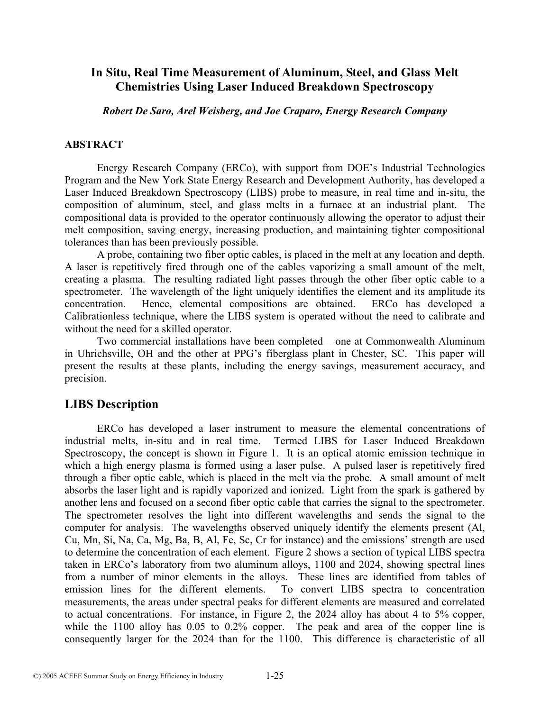# **In Situ, Real Time Measurement of Aluminum, Steel, and Glass Melt Chemistries Using Laser Induced Breakdown Spectroscopy**

*Robert De Saro, Arel Weisberg, and Joe Craparo, Energy Research Company* 

#### **ABSTRACT**

Energy Research Company (ERCo), with support from DOE's Industrial Technologies Program and the New York State Energy Research and Development Authority, has developed a Laser Induced Breakdown Spectroscopy (LIBS) probe to measure, in real time and in-situ, the composition of aluminum, steel, and glass melts in a furnace at an industrial plant. The compositional data is provided to the operator continuously allowing the operator to adjust their melt composition, saving energy, increasing production, and maintaining tighter compositional tolerances than has been previously possible.

A probe, containing two fiber optic cables, is placed in the melt at any location and depth. A laser is repetitively fired through one of the cables vaporizing a small amount of the melt, creating a plasma. The resulting radiated light passes through the other fiber optic cable to a spectrometer. The wavelength of the light uniquely identifies the element and its amplitude its concentration. Hence, elemental compositions are obtained. ERCo has developed a Calibrationless technique, where the LIBS system is operated without the need to calibrate and without the need for a skilled operator.

Two commercial installations have been completed – one at Commonwealth Aluminum in Uhrichsville, OH and the other at PPG's fiberglass plant in Chester, SC. This paper will present the results at these plants, including the energy savings, measurement accuracy, and precision.

## **LIBS Description**

ERCo has developed a laser instrument to measure the elemental concentrations of industrial melts, in-situ and in real time. Termed LIBS for Laser Induced Breakdown Spectroscopy, the concept is shown in Figure 1. It is an optical atomic emission technique in which a high energy plasma is formed using a laser pulse. A pulsed laser is repetitively fired through a fiber optic cable, which is placed in the melt via the probe. A small amount of melt absorbs the laser light and is rapidly vaporized and ionized. Light from the spark is gathered by another lens and focused on a second fiber optic cable that carries the signal to the spectrometer. The spectrometer resolves the light into different wavelengths and sends the signal to the computer for analysis. The wavelengths observed uniquely identify the elements present (Al, Cu, Mn, Si, Na, Ca, Mg, Ba, B, Al, Fe, Sc, Cr for instance) and the emissions' strength are used to determine the concentration of each element. Figure 2 shows a section of typical LIBS spectra taken in ERCo's laboratory from two aluminum alloys, 1100 and 2024, showing spectral lines from a number of minor elements in the alloys. These lines are identified from tables of emission lines for the different elements. To convert LIBS spectra to concentration measurements, the areas under spectral peaks for different elements are measured and correlated to actual concentrations. For instance, in Figure 2, the 2024 alloy has about 4 to 5% copper, while the 1100 alloy has 0.05 to 0.2% copper. The peak and area of the copper line is consequently larger for the 2024 than for the 1100. This difference is characteristic of all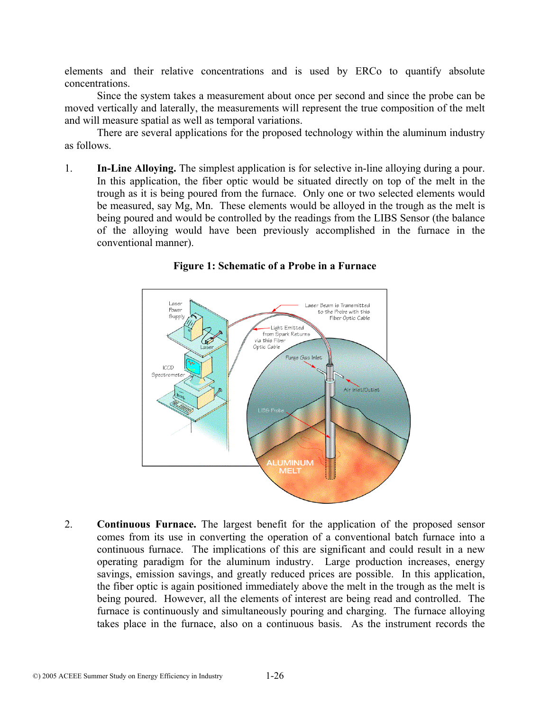elements and their relative concentrations and is used by ERCo to quantify absolute concentrations.

Since the system takes a measurement about once per second and since the probe can be moved vertically and laterally, the measurements will represent the true composition of the melt and will measure spatial as well as temporal variations.

There are several applications for the proposed technology within the aluminum industry as follows.

1. **In-Line Alloying.** The simplest application is for selective in-line alloying during a pour. In this application, the fiber optic would be situated directly on top of the melt in the trough as it is being poured from the furnace. Only one or two selected elements would be measured, say Mg, Mn. These elements would be alloyed in the trough as the melt is being poured and would be controlled by the readings from the LIBS Sensor (the balance of the alloying would have been previously accomplished in the furnace in the conventional manner).



#### **Figure 1: Schematic of a Probe in a Furnace**

2. **Continuous Furnace.** The largest benefit for the application of the proposed sensor comes from its use in converting the operation of a conventional batch furnace into a continuous furnace. The implications of this are significant and could result in a new operating paradigm for the aluminum industry. Large production increases, energy savings, emission savings, and greatly reduced prices are possible. In this application, the fiber optic is again positioned immediately above the melt in the trough as the melt is being poured. However, all the elements of interest are being read and controlled. The furnace is continuously and simultaneously pouring and charging. The furnace alloying takes place in the furnace, also on a continuous basis. As the instrument records the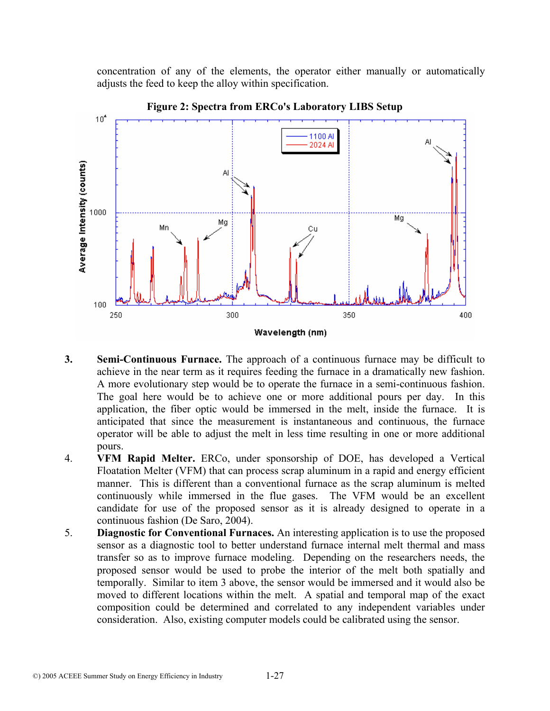concentration of any of the elements, the operator either manually or automatically adjusts the feed to keep the alloy within specification.



**Figure 2: Spectra from ERCo's Laboratory LIBS Setup** 

- **3. Semi-Continuous Furnace.** The approach of a continuous furnace may be difficult to achieve in the near term as it requires feeding the furnace in a dramatically new fashion. A more evolutionary step would be to operate the furnace in a semi-continuous fashion. The goal here would be to achieve one or more additional pours per day. In this application, the fiber optic would be immersed in the melt, inside the furnace. It is anticipated that since the measurement is instantaneous and continuous, the furnace operator will be able to adjust the melt in less time resulting in one or more additional pours.
- 4. **VFM Rapid Melter.** ERCo, under sponsorship of DOE, has developed a Vertical Floatation Melter (VFM) that can process scrap aluminum in a rapid and energy efficient manner. This is different than a conventional furnace as the scrap aluminum is melted continuously while immersed in the flue gases. The VFM would be an excellent candidate for use of the proposed sensor as it is already designed to operate in a continuous fashion (De Saro, 2004).
- 5. **Diagnostic for Conventional Furnaces.** An interesting application is to use the proposed sensor as a diagnostic tool to better understand furnace internal melt thermal and mass transfer so as to improve furnace modeling. Depending on the researchers needs, the proposed sensor would be used to probe the interior of the melt both spatially and temporally. Similar to item 3 above, the sensor would be immersed and it would also be moved to different locations within the melt. A spatial and temporal map of the exact composition could be determined and correlated to any independent variables under consideration. Also, existing computer models could be calibrated using the sensor.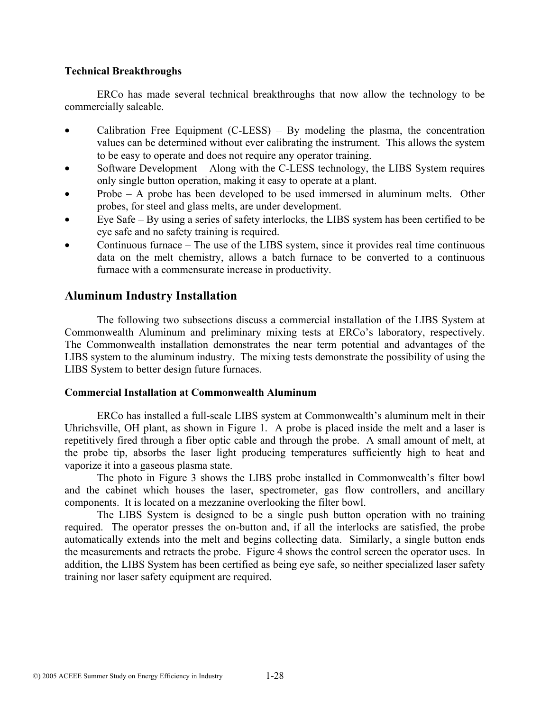#### **Technical Breakthroughs**

ERCo has made several technical breakthroughs that now allow the technology to be commercially saleable.

- Calibration Free Equipment  $(C\text{-}LESS) By modeling the plasma, the concentration$ values can be determined without ever calibrating the instrument. This allows the system to be easy to operate and does not require any operator training.
- Software Development Along with the C-LESS technology, the LIBS System requires only single button operation, making it easy to operate at a plant.
- Probe A probe has been developed to be used immersed in aluminum melts. Other probes, for steel and glass melts, are under development.
- Eye Safe By using a series of safety interlocks, the LIBS system has been certified to be eye safe and no safety training is required.
- Continuous furnace The use of the LIBS system, since it provides real time continuous data on the melt chemistry, allows a batch furnace to be converted to a continuous furnace with a commensurate increase in productivity.

## **Aluminum Industry Installation**

The following two subsections discuss a commercial installation of the LIBS System at Commonwealth Aluminum and preliminary mixing tests at ERCo's laboratory, respectively. The Commonwealth installation demonstrates the near term potential and advantages of the LIBS system to the aluminum industry. The mixing tests demonstrate the possibility of using the LIBS System to better design future furnaces.

#### **Commercial Installation at Commonwealth Aluminum**

ERCo has installed a full-scale LIBS system at Commonwealth's aluminum melt in their Uhrichsville, OH plant, as shown in Figure 1. A probe is placed inside the melt and a laser is repetitively fired through a fiber optic cable and through the probe. A small amount of melt, at the probe tip, absorbs the laser light producing temperatures sufficiently high to heat and vaporize it into a gaseous plasma state.

The photo in Figure 3 shows the LIBS probe installed in Commonwealth's filter bowl and the cabinet which houses the laser, spectrometer, gas flow controllers, and ancillary components. It is located on a mezzanine overlooking the filter bowl.

The LIBS System is designed to be a single push button operation with no training required. The operator presses the on-button and, if all the interlocks are satisfied, the probe automatically extends into the melt and begins collecting data. Similarly, a single button ends the measurements and retracts the probe. Figure 4 shows the control screen the operator uses. In addition, the LIBS System has been certified as being eye safe, so neither specialized laser safety training nor laser safety equipment are required.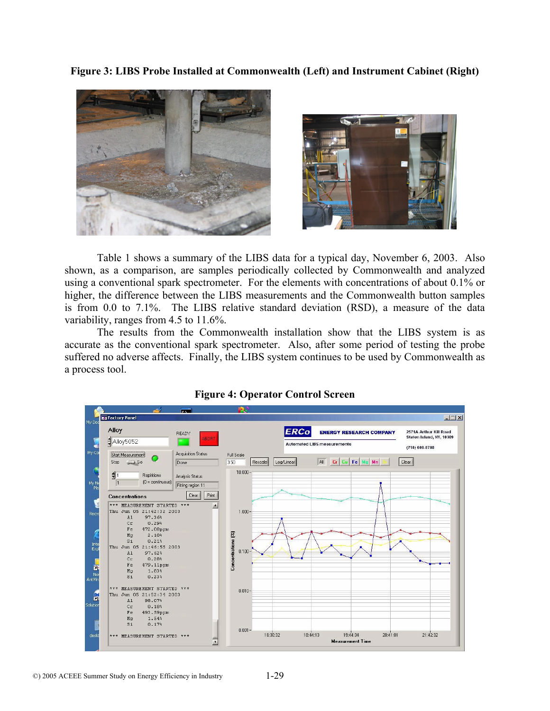**Figure 3: LIBS Probe Installed at Commonwealth (Left) and Instrument Cabinet (Right)** 



Table 1 shows a summary of the LIBS data for a typical day, November 6, 2003. Also shown, as a comparison, are samples periodically collected by Commonwealth and analyzed using a conventional spark spectrometer. For the elements with concentrations of about 0.1% or higher, the difference between the LIBS measurements and the Commonwealth button samples is from 0.0 to 7.1%. The LIBS relative standard deviation (RSD), a measure of the data variability, ranges from 4.5 to 11.6%.

The results from the Commonwealth installation show that the LIBS system is as accurate as the conventional spark spectrometer. Also, after some period of testing the probe suffered no adverse affects. Finally, the LIBS system continues to be used by Commonwealth as a process tool.



#### **Figure 4: Operator Control Screen**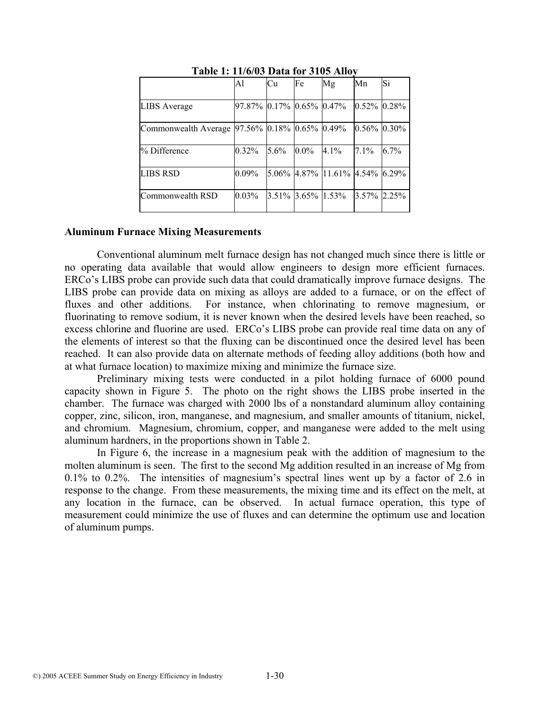|                                               | A <sup>1</sup>           | Cu                   | Fe      | Mg                             | Mn             | Si      |
|-----------------------------------------------|--------------------------|----------------------|---------|--------------------------------|----------------|---------|
| <b>LIBS</b> Average                           | 97.87% 0.17% 0.65% 0.47% |                      |         |                                | $0.52\%$ 0.28% |         |
| Commonwealth Average 97.56% 0.18% 0.65% 0.49% |                          |                      |         |                                | $0.56\%$ 0.30% |         |
| % Difference                                  | $0.32\%$                 | $5.6\%$              | $0.0\%$ | $4.1\%$                        | 7.1%           | $6.7\%$ |
| <b>LIBS RSD</b>                               | $0.09\%$                 |                      |         | 5.06% 4.87% 11.61% 4.54% 6.29% |                |         |
| Commonwealth RSD                              | $0.03\%$                 | $3.51\%$ 3.65% 1.53% |         |                                | $3.57\%$ 2.25% |         |

#### **Table 1: 11/6/03 Data for 3105 Alloy**

#### **Aluminum Furnace Mixing Measurements**

Conventional aluminum melt furnace design has not changed much since there is little or no operating data available that would allow engineers to design more efficient furnaces. ERCo's LIBS probe can provide such data that could dramatically improve furnace designs. The LIBS probe can provide data on mixing as alloys are added to a furnace, or on the effect of fluxes and other additions. For instance, when chlorinating to remove magnesium, or fluorinating to remove sodium, it is never known when the desired levels have been reached, so excess chlorine and fluorine are used. ERCo's LIBS probe can provide real time data on any of the elements of interest so that the fluxing can be discontinued once the desired level has been reached. It can also provide data on alternate methods of feeding alloy additions (both how and at what furnace location) to maximize mixing and minimize the furnace size.

Preliminary mixing tests were conducted in a pilot holding furnace of 6000 pound capacity shown in Figure 5. The photo on the right shows the LIBS probe inserted in the chamber. The furnace was charged with 2000 lbs of a nonstandard aluminum alloy containing copper, zinc, silicon, iron, manganese, and magnesium, and smaller amounts of titanium, nickel, and chromium. Magnesium, chromium, copper, and manganese were added to the melt using aluminum hardners, in the proportions shown in Table 2.

In Figure 6, the increase in a magnesium peak with the addition of magnesium to the molten aluminum is seen. The first to the second Mg addition resulted in an increase of Mg from 0.1% to 0.2%. The intensities of magnesium's spectral lines went up by a factor of 2.6 in response to the change. From these measurements, the mixing time and its effect on the melt, at any location in the furnace, can be observed. In actual furnace operation, this type of measurement could minimize the use of fluxes and can determine the optimum use and location of aluminum pumps.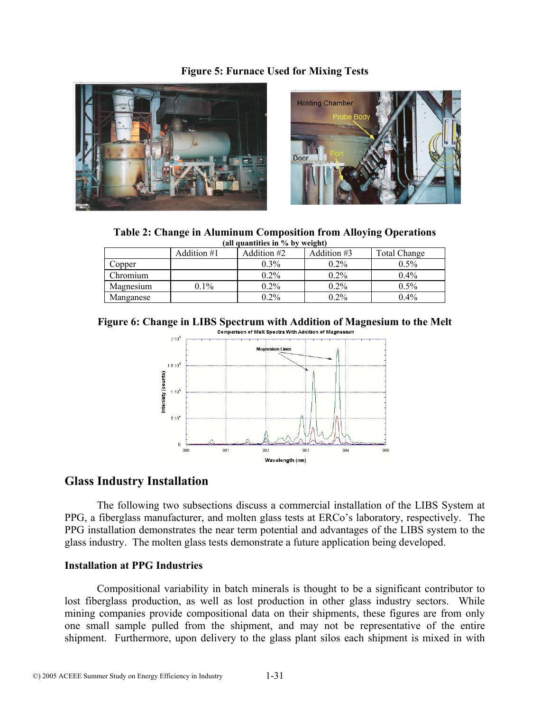#### **Figure 5: Furnace Used for Mixing Tests**





**Table 2: Change in Aluminum Composition from Alloying Operations (all quantities in % by weight)** 

| $(III)$ quantities in 70 by weight) |             |               |             |                     |  |
|-------------------------------------|-------------|---------------|-------------|---------------------|--|
|                                     | Addition #1 | Addition $#2$ | Addition #3 | <b>Total Change</b> |  |
| Copper                              |             | $0.3\%$       | $0.2\%$     | $0.5\%$             |  |
| Chromium                            |             | $0.2\%$       | $0.2\%$     | $0.4\%$             |  |
| Magnesium                           | $0.1\%$     | $0.2\%$       | $0.2\%$     | $0.5\%$             |  |
| Manganese                           |             | $0.2\%$       | $0.2\%$     | $0.4\%$             |  |

**Figure 6: Change in LIBS Spectrum with Addition of Magnesium to the Melt**<br>Comparison of Melt Spectra With Addition of Magnesium



## **Glass Industry Installation**

The following two subsections discuss a commercial installation of the LIBS System at PPG, a fiberglass manufacturer, and molten glass tests at ERCo's laboratory, respectively. The PPG installation demonstrates the near term potential and advantages of the LIBS system to the glass industry. The molten glass tests demonstrate a future application being developed.

#### **Installation at PPG Industries**

Compositional variability in batch minerals is thought to be a significant contributor to lost fiberglass production, as well as lost production in other glass industry sectors. While mining companies provide compositional data on their shipments, these figures are from only one small sample pulled from the shipment, and may not be representative of the entire shipment. Furthermore, upon delivery to the glass plant silos each shipment is mixed in with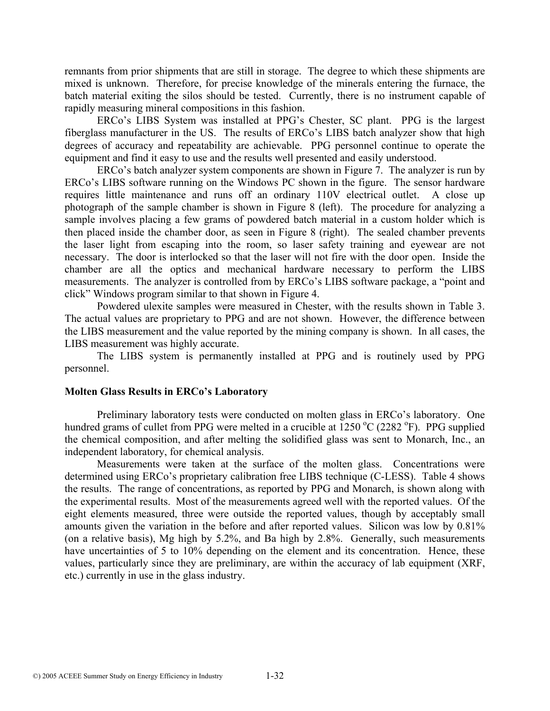remnants from prior shipments that are still in storage. The degree to which these shipments are mixed is unknown. Therefore, for precise knowledge of the minerals entering the furnace, the batch material exiting the silos should be tested. Currently, there is no instrument capable of rapidly measuring mineral compositions in this fashion.

ERCo's LIBS System was installed at PPG's Chester, SC plant. PPG is the largest fiberglass manufacturer in the US. The results of ERCo's LIBS batch analyzer show that high degrees of accuracy and repeatability are achievable. PPG personnel continue to operate the equipment and find it easy to use and the results well presented and easily understood.

ERCo's batch analyzer system components are shown in Figure 7. The analyzer is run by ERCo's LIBS software running on the Windows PC shown in the figure. The sensor hardware requires little maintenance and runs off an ordinary 110V electrical outlet. A close up photograph of the sample chamber is shown in Figure 8 (left). The procedure for analyzing a sample involves placing a few grams of powdered batch material in a custom holder which is then placed inside the chamber door, as seen in Figure 8 (right). The sealed chamber prevents the laser light from escaping into the room, so laser safety training and eyewear are not necessary. The door is interlocked so that the laser will not fire with the door open. Inside the chamber are all the optics and mechanical hardware necessary to perform the LIBS measurements. The analyzer is controlled from by ERCo's LIBS software package, a "point and click" Windows program similar to that shown in Figure 4.

Powdered ulexite samples were measured in Chester, with the results shown in Table 3. The actual values are proprietary to PPG and are not shown. However, the difference between the LIBS measurement and the value reported by the mining company is shown. In all cases, the LIBS measurement was highly accurate.

The LIBS system is permanently installed at PPG and is routinely used by PPG personnel.

#### **Molten Glass Results in ERCo's Laboratory**

Preliminary laboratory tests were conducted on molten glass in ERCo's laboratory. One hundred grams of cullet from PPG were melted in a crucible at 1250 °C (2282 °F). PPG supplied the chemical composition, and after melting the solidified glass was sent to Monarch, Inc., an independent laboratory, for chemical analysis.

Measurements were taken at the surface of the molten glass. Concentrations were determined using ERCo's proprietary calibration free LIBS technique (C-LESS). Table 4 shows the results. The range of concentrations, as reported by PPG and Monarch, is shown along with the experimental results. Most of the measurements agreed well with the reported values. Of the eight elements measured, three were outside the reported values, though by acceptably small amounts given the variation in the before and after reported values. Silicon was low by 0.81% (on a relative basis), Mg high by 5.2%, and Ba high by 2.8%. Generally, such measurements have uncertainties of 5 to 10% depending on the element and its concentration. Hence, these values, particularly since they are preliminary, are within the accuracy of lab equipment (XRF, etc.) currently in use in the glass industry.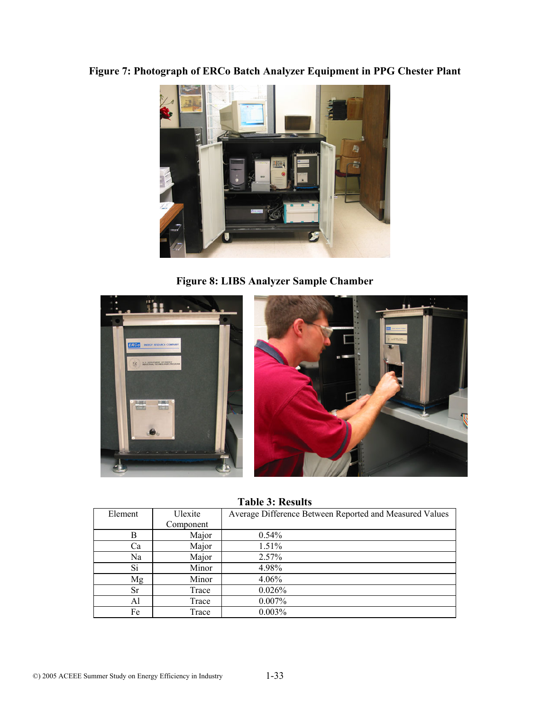# **Figure 7: Photograph of ERCo Batch Analyzer Equipment in PPG Chester Plant**



**Figure 8: LIBS Analyzer Sample Chamber** 



**Table 3: Results** 

| Element   | Ulexite   | Average Difference Between Reported and Measured Values |
|-----------|-----------|---------------------------------------------------------|
|           | Component |                                                         |
| В         | Major     | 0.54%                                                   |
| Ca        | Major     | 1.51%                                                   |
| Na        | Major     | 2.57%                                                   |
| Si        | Minor     | 4.98%                                                   |
| Mg        | Minor     | 4.06%                                                   |
| <b>Sr</b> | Trace     | 0.026%                                                  |
| Al        | Trace     | 0.007%                                                  |
| Fe        | Trace     | $0.003\%$                                               |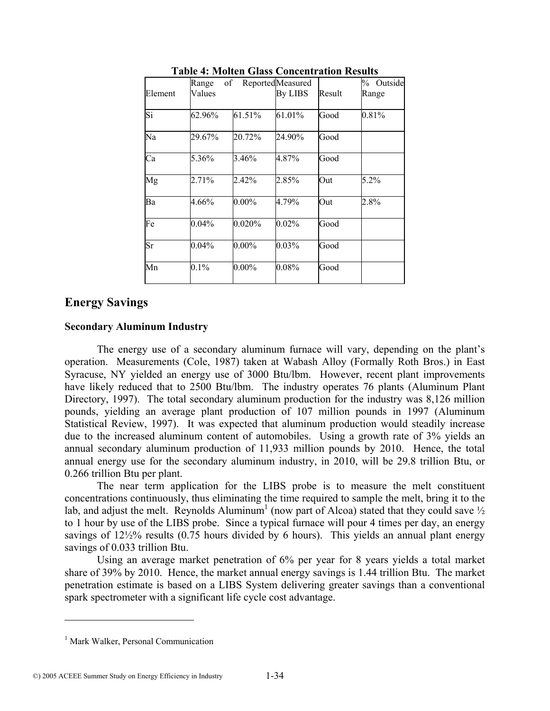| Element   | Range<br>Values | of        | Reported <sub>Measured</sub><br><b>By LIBS</b> | Result | Outside<br>$\%$<br>Range |
|-----------|-----------------|-----------|------------------------------------------------|--------|--------------------------|
| Si        | 62.96%          | 61.51%    | 61.01%                                         | Good   | 0.81%                    |
| Na        | 29.67%          | 20.72%    | 24.90%                                         | Good   |                          |
| Ca        | 5.36%           | 3.46%     | 4.87%                                          | Good   |                          |
| Mg        | 2.71%           | 2.42%     | 2.85%                                          | Out    | $5.2\%$                  |
| Ba        | 4.66%           | $0.00\%$  | 4.79%                                          | Out    | 2.8%                     |
| Fe        | $0.04\%$        | $0.020\%$ | $0.02\%$                                       | Good   |                          |
| <b>Sr</b> | 0.04%           | $0.00\%$  | 0.03%                                          | Good   |                          |
| Mn        | $0.1\%$         | $0.00\%$  | $0.08\%$                                       | Good   |                          |

**Table 4: Molten Glass Concentration Results** 

# **Energy Savings**

#### **Secondary Aluminum Industry**

The energy use of a secondary aluminum furnace will vary, depending on the plant's operation. Measurements (Cole, 1987) taken at Wabash Alloy (Formally Roth Bros.) in East Syracuse, NY yielded an energy use of 3000 Btu/lbm. However, recent plant improvements have likely reduced that to 2500 Btu/lbm. The industry operates 76 plants (Aluminum Plant Directory, 1997). The total secondary aluminum production for the industry was 8,126 million pounds, yielding an average plant production of 107 million pounds in 1997 (Aluminum Statistical Review, 1997). It was expected that aluminum production would steadily increase due to the increased aluminum content of automobiles. Using a growth rate of 3% yields an annual secondary aluminum production of 11,933 million pounds by 2010. Hence, the total annual energy use for the secondary aluminum industry, in 2010, will be 29.8 trillion Btu, or 0.266 trillion Btu per plant.

The near term application for the LIBS probe is to measure the melt constituent concentrations continuously, thus eliminating the time required to sample the melt, bring it to the lab, and adjust the melt. Reynolds Aluminum<sup>1</sup> (now part of Alcoa) stated that they could save  $\frac{1}{2}$ to 1 hour by use of the LIBS probe. Since a typical furnace will pour 4 times per day, an energy savings of  $12\frac{1}{2}\%$  results (0.75 hours divided by 6 hours). This yields an annual plant energy savings of 0.033 trillion Btu.

Using an average market penetration of 6% per year for 8 years yields a total market share of 39% by 2010. Hence, the market annual energy savings is 1.44 trillion Btu. The market penetration estimate is based on a LIBS System delivering greater savings than a conventional spark spectrometer with a significant life cycle cost advantage.

 $\overline{a}$ 

<sup>&</sup>lt;sup>1</sup> Mark Walker, Personal Communication